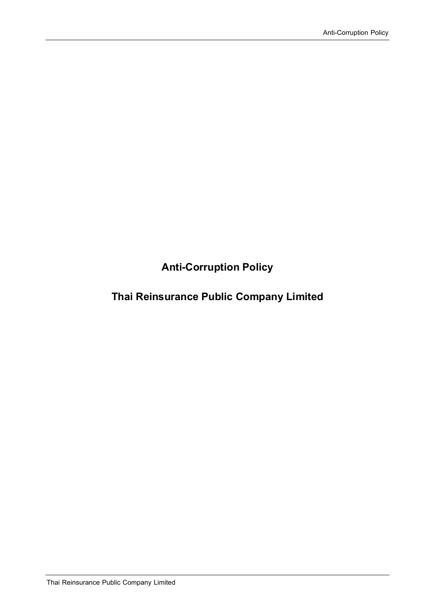**Anti-Corruption Policy**

# **Thai Reinsurance Public Company Limited**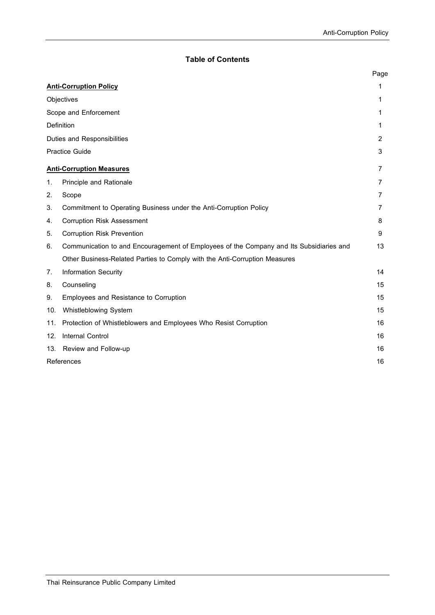## **Table of Contents**

|                                 |                                                                                         | Page |
|---------------------------------|-----------------------------------------------------------------------------------------|------|
| <b>Anti-Corruption Policy</b>   |                                                                                         | 1    |
| Objectives                      |                                                                                         | 1    |
| Scope and Enforcement           |                                                                                         | 1    |
| <b>Definition</b>               |                                                                                         | 1    |
| Duties and Responsibilities     |                                                                                         | 2    |
| <b>Practice Guide</b>           |                                                                                         | 3    |
| <b>Anti-Corruption Measures</b> |                                                                                         | 7    |
| 1.                              | Principle and Rationale                                                                 | 7    |
| 2.                              | Scope                                                                                   | 7    |
| 3.                              | Commitment to Operating Business under the Anti-Corruption Policy                       | 7    |
| 4.                              | <b>Corruption Risk Assessment</b>                                                       | 8    |
| 5.                              | <b>Corruption Risk Prevention</b>                                                       | 9    |
| 6.                              | Communication to and Encouragement of Employees of the Company and Its Subsidiaries and | 13   |
|                                 | Other Business-Related Parties to Comply with the Anti-Corruption Measures              |      |
| 7.                              | <b>Information Security</b>                                                             | 14   |
| 8.                              | Counseling                                                                              | 15   |
| 9.                              | Employees and Resistance to Corruption                                                  | 15   |
| 10.                             | Whistleblowing System                                                                   | 15   |
| 11.                             | Protection of Whistleblowers and Employees Who Resist Corruption                        | 16   |
| 12.                             | Internal Control                                                                        | 16   |
| 13.                             | Review and Follow-up                                                                    | 16   |
|                                 | References                                                                              |      |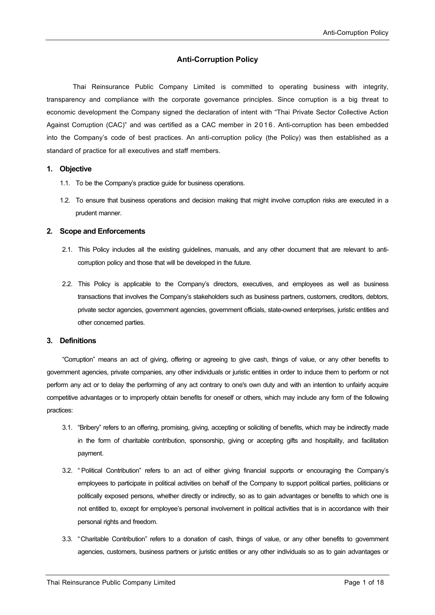## **Anti-Corruption Policy**

Thai Reinsurance Public Company Limited is committed to operating business with integrity, transparency and compliance with the corporate governance principles. Since corruption is a big threat to economic development the Company signed the declaration of intent with "Thai Private Sector Collective Action Against Corruption (CAC)" and was certified as a CAC member in 2016. Anti-corruption has been embedded into the Company's code of best practices. An anti-corruption policy (the Policy) was then established as a standard of practice for all executives and staff members.

#### **1. Objective**

- 1.1. To be the Company's practice guide for business operations.
- 1.2. To ensure that business operations and decision making that might involve corruption risks are executed in a prudent manner.

#### **2. Scope and Enforcements**

- 2.1. This Policy includes all the existing guidelines, manuals, and any other document that are relevant to anticorruption policy and those that will be developed in the future.
- 2.2. This Policy is applicable to the Company's directors, executives, and employees as well as business transactions that involves the Company's stakeholders such as business partners, customers, creditors, debtors, private sector agencies, government agencies, government officials, state-owned enterprises, juristic entities and other concerned parties.

## **3. Definitions**

"Corruption" means an act of giving, offering or agreeing to give cash, things of value, or any other benefits to government agencies, private companies, any other individuals or juristic entities in order to induce them to perform or not perform any act or to delay the performing of any act contrary to one's own duty and with an intention to unfairly acquire competitive advantages or to improperly obtain benefits for oneself or others, which may include any form of the following practices:

- 3.1. "Bribery" refers to an offering, promising, giving, accepting or soliciting of benefits, which may be indirectly made in the form of charitable contribution, sponsorship, giving or accepting gifts and hospitality, and facilitation payment.
- 3.2. " Political Contribution" refers to an act of either giving financial supports or encouraging the Company's employees to participate in political activities on behalf of the Company to support political parties, politicians or politically exposed persons, whether directly or indirectly, so as to gain advantages or benefits to which one is not entitled to, except for employee's personal involvement in political activities that is in accordance with their personal rights and freedom.
- 3.3. "Charitable Contribution" refers to a donation of cash, things of value, or any other benefits to government agencies, customers, business partners or juristic entities or any other individuals so as to gain advantages or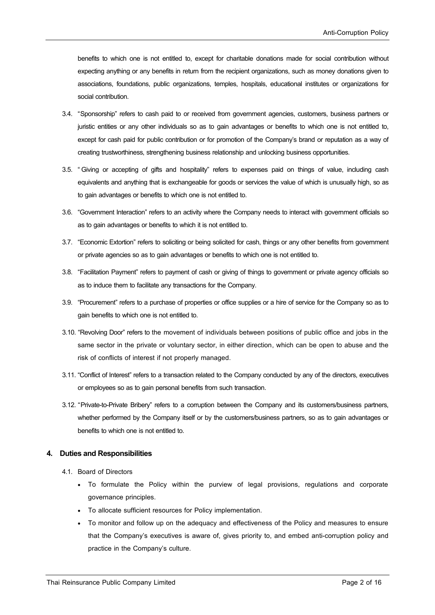benefits to which one is not entitled to, except for charitable donations made for social contribution without expecting anything or any benefits in return from the recipient organizations, such as money donations given to associations, foundations, public organizations, temples, hospitals, educational institutes or organizations for social contribution.

- 3.4. "Sponsorship" refers to cash paid to or received from government agencies, customers, business partners or juristic entities or any other individuals so as to gain advantages or benefits to which one is not entitled to, except for cash paid for public contribution or for promotion of the Company's brand or reputation as a way of creating trustworthiness, strengthening business relationship and unlocking business opportunities.
- 3.5. " Giving or accepting of gifts and hospitality" refers to expenses paid on things of value, including cash equivalents and anything that is exchangeable for goods or services the value of which is unusually high, so as to gain advantages or benefits to which one is not entitled to.
- 3.6. "Government Interaction" refers to an activity where the Company needs to interact with government officials so as to gain advantages or benefits to which it is not entitled to.
- 3.7. "Economic Extortion" refers to soliciting or being solicited for cash, things or any other benefits from government or private agencies so as to gain advantages or benefits to which one is not entitled to.
- 3.8. "Facilitation Payment" refers to payment of cash or giving of things to government or private agency officials so as to induce them to facilitate any transactions for the Company.
- 3.9. "Procurement" refers to a purchase of properties or office supplies or a hire of service for the Company so as to gain benefits to which one is not entitled to.
- 3.10. "Revolving Door" refers to the movement of individuals between positions of public office and jobs in the same sector in the private or voluntary sector, in either direction, which can be open to abuse and the risk of conflicts of interest if not properly managed.
- 3.11. "Conflict of Interest" refers to a transaction related to the Company conducted by any of the directors, executives or employees so as to gain personal benefits from such transaction.
- 3.12. "Private-to-Private Bribery" refers to a corruption between the Company and its customers/business partners, whether performed by the Company itself or by the customers/business partners, so as to gain advantages or benefits to which one is not entitled to.

## **4. Duties and Responsibilities**

- 4.1. Board of Directors
	- To formulate the Policy within the purview of legal provisions, regulations and corporate governance principles.
	- To allocate sufficient resources for Policy implementation.
	- To monitor and follow up on the adequacy and effectiveness of the Policy and measures to ensure that the Company's executives is aware of, gives priority to, and embed anti-corruption policy and practice in the Company's culture.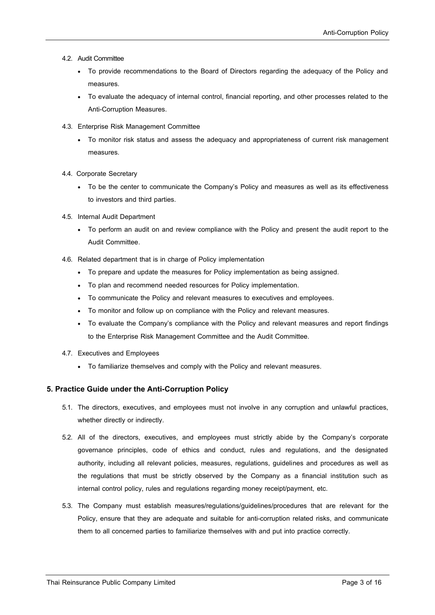- 4.2. Audit Committee
	- To provide recommendations to the Board of Directors regarding the adequacy of the Policy and measures.
	- To evaluate the adequacy of internal control, financial reporting, and other processes related to the Anti-Corruption Measures.
- 4.3. Enterprise Risk Management Committee
	- To monitor risk status and assess the adequacy and appropriateness of current risk management measures.
- 4.4. Corporate Secretary
	- To be the center to communicate the Company's Policy and measures as well as its effectiveness to investors and third parties.
- 4.5. Internal Audit Department
	- To perform an audit on and review compliance with the Policy and present the audit report to the Audit Committee.
- 4.6. Related department that is in charge of Policy implementation
	- To prepare and update the measures for Policy implementation as being assigned.
	- To plan and recommend needed resources for Policy implementation.
	- To communicate the Policy and relevant measures to executives and employees.
	- To monitor and follow up on compliance with the Policy and relevant measures.
	- To evaluate the Company's compliance with the Policy and relevant measures and report findings to the Enterprise Risk Management Committee and the Audit Committee.
- 4.7. Executives and Employees
	- To familiarize themselves and comply with the Policy and relevant measures.

## **5. Practice Guide under the Anti-Corruption Policy**

- 5.1. The directors, executives, and employees must not involve in any corruption and unlawful practices, whether directly or indirectly.
- 5.2. All of the directors, executives, and employees must strictly abide by the Company's corporate governance principles, code of ethics and conduct, rules and regulations, and the designated authority, including all relevant policies, measures, regulations, guidelines and procedures as well as the regulations that must be strictly observed by the Company as a financial institution such as internal control policy, rules and regulations regarding money receipt/payment, etc.
- 5.3. The Company must establish measures/regulations/guidelines/procedures that are relevant for the Policy, ensure that they are adequate and suitable for anti-corruption related risks, and communicate them to all concerned parties to familiarize themselves with and put into practice correctly.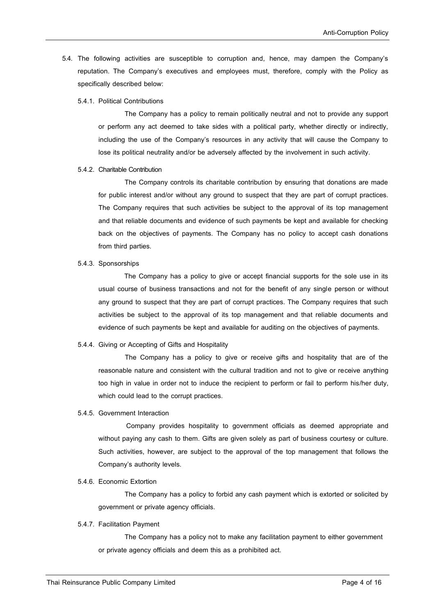- 5.4. The following activities are susceptible to corruption and, hence, may dampen the Company's reputation. The Company's executives and employees must, therefore, comply with the Policy as specifically described below:
	- 5.4.1. Political Contributions

The Company has a policy to remain politically neutral and not to provide any support or perform any act deemed to take sides with a political party, whether directly or indirectly, including the use of the Company's resources in any activity that will cause the Company to lose its political neutrality and/or be adversely affected by the involvement in such activity.

## 5.4.2. Charitable Contribution

The Company controls its charitable contribution by ensuring that donations are made for public interest and/or without any ground to suspect that they are part of corrupt practices. The Company requires that such activities be subject to the approval of its top management and that reliable documents and evidence of such payments be kept and available for checking back on the objectives of payments. The Company has no policy to accept cash donations from third parties.

5.4.3. Sponsorships

The Company has a policy to give or accept financial supports for the sole use in its usual course of business transactions and not for the benefit of any single person or without any ground to suspect that they are part of corrupt practices. The Company requires that such activities be subject to the approval of its top management and that reliable documents and evidence of such payments be kept and available for auditing on the objectives of payments.

#### 5.4.4. Giving or Accepting of Gifts and Hospitality

The Company has a policy to give or receive gifts and hospitality that are of the reasonable nature and consistent with the cultural tradition and not to give or receive anything too high in value in order not to induce the recipient to perform or fail to perform his/her duty, which could lead to the corrupt practices.

## 5.4.5. Government Interaction

Company provides hospitality to government officials as deemed appropriate and without paying any cash to them. Gifts are given solely as part of business courtesy or culture. Such activities, however, are subject to the approval of the top management that follows the Company's authority levels.

5.4.6. Economic Extortion

The Company has a policy to forbid any cash payment which is extorted or solicited by government or private agency officials.

#### 5.4.7. Facilitation Payment

The Company has a policy not to make any facilitation payment to either government or private agency officials and deem this as a prohibited act.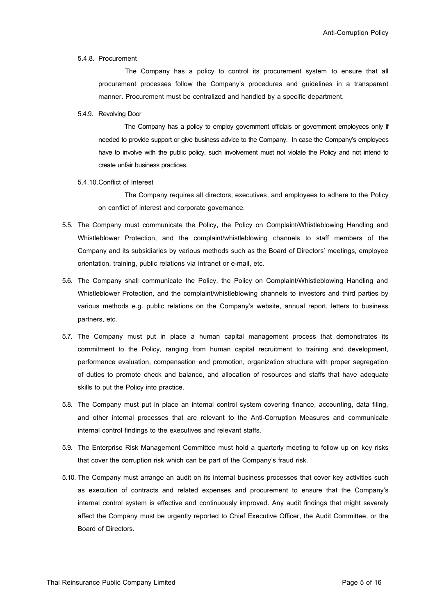#### 5.4.8. Procurement

The Company has a policy to control its procurement system to ensure that all procurement processes follow the Company's procedures and guidelines in a transparent manner. Procurement must be centralized and handled by a specific department.

#### 5.4.9. Revolving Door

The Company has a policy to employ government officials or government employees only if needed to provide support or give business advice to the Company. In case the Company's employees have to involve with the public policy, such involvement must not violate the Policy and not intend to create unfair business practices.

5.4.10.Conflict of Interest

The Company requires all directors, executives, and employees to adhere to the Policy on conflict of interest and corporate governance.

- 5.5. The Company must communicate the Policy, the Policy on Complaint/Whistleblowing Handling and Whistleblower Protection, and the complaint/whistleblowing channels to staff members of the Company and its subsidiaries by various methods such as the Board of Directors' meetings, employee orientation, training, public relations via intranet or e-mail, etc.
- 5.6. The Company shall communicate the Policy, the Policy on Complaint/Whistleblowing Handling and Whistleblower Protection, and the complaint/whistleblowing channels to investors and third parties by various methods e.g. public relations on the Company's website, annual report, letters to business partners, etc.
- 5.7. The Company must put in place a human capital management process that demonstrates its commitment to the Policy, ranging from human capital recruitment to training and development, performance evaluation, compensation and promotion, organization structure with proper segregation of duties to promote check and balance, and allocation of resources and staffs that have adequate skills to put the Policy into practice.
- 5.8. The Company must put in place an internal control system covering finance, accounting, data filing, and other internal processes that are relevant to the Anti-Corruption Measures and communicate internal control findings to the executives and relevant staffs.
- 5.9. The Enterprise Risk Management Committee must hold a quarterly meeting to follow up on key risks that cover the corruption risk which can be part of the Company's fraud risk.
- 5.10.The Company must arrange an audit on its internal business processes that cover key activities such as execution of contracts and related expenses and procurement to ensure that the Company's internal control system is effective and continuously improved. Any audit findings that might severely affect the Company must be urgently reported to Chief Executive Officer, the Audit Committee, or the Board of Directors.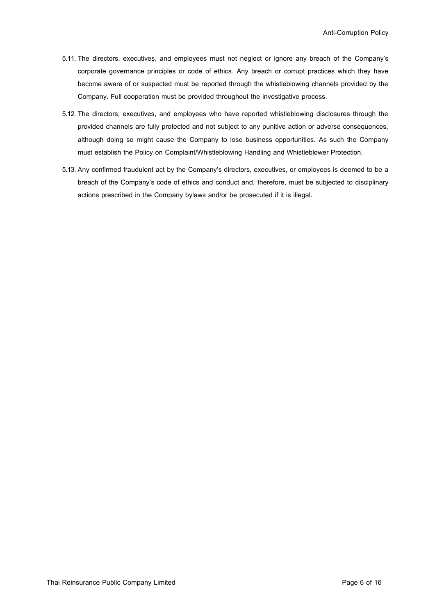- 5.11.The directors, executives, and employees must not neglect or ignore any breach of the Company's corporate governance principles or code of ethics. Any breach or corrupt practices which they have become aware of or suspected must be reported through the whistleblowing channels provided by the Company. Full cooperation must be provided throughout the investigative process.
- 5.12.The directors, executives, and employees who have reported whistleblowing disclosures through the provided channels are fully protected and not subject to any punitive action or adverse consequences, although doing so might cause the Company to lose business opportunities. As such the Company must establish the Policy on Complaint/Whistleblowing Handling and Whistleblower Protection.
- 5.13. Any confirmed fraudulent act by the Company's directors, executives, or employees is deemed to be a breach of the Company's code of ethics and conduct and, therefore, must be subjected to disciplinary actions prescribed in the Company bylaws and/or be prosecuted if it is illegal.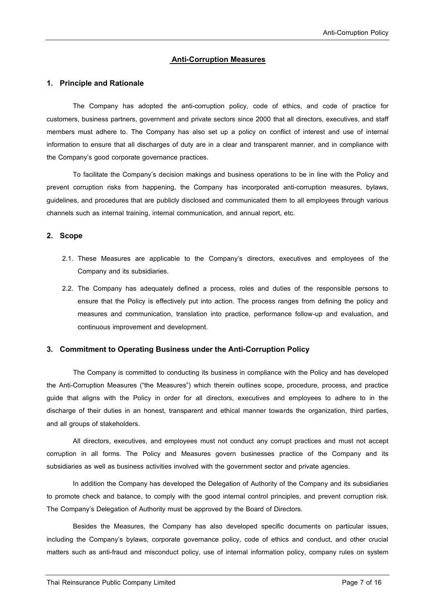## **Anti-Corruption Measures**

## **1. Principle and Rationale**

The Company has adopted the anti-corruption policy, code of ethics, and code of practice for customers, business partners, government and private sectors since 2000 that all directors, executives, and staff members must adhere to. The Company has also set up a policy on conflict of interest and use of internal information to ensure that all discharges of duty are in a clear and transparent manner, and in compliance with the Company's good corporate governance practices.

To facilitate the Company's decision makings and business operations to be in line with the Policy and prevent corruption risks from happening, the Company has incorporated anti-corruption measures, bylaws, guidelines, and procedures that are publicly disclosed and communicated them to all employees through various channels such as internal training, internal communication, and annual report, etc.

## **2. Scope**

- 2.1. These Measures are applicable to the Company's directors, executives and employees of the Company and its subsidiaries.
- 2.2. The Company has adequately defined a process, roles and duties of the responsible persons to ensure that the Policy is effectively put into action. The process ranges from defining the policy and measures and communication, translation into practice, performance follow-up and evaluation, and continuous improvement and development.

## **3. Commitment to Operating Business under the Anti-Corruption Policy**

The Company is committed to conducting its business in compliance with the Policy and has developed the Anti-Corruption Measures ("the Measures") which therein outlines scope, procedure, process, and practice guide that aligns with the Policy in order for all directors, executives and employees to adhere to in the discharge of their duties in an honest, transparent and ethical manner towards the organization, third parties, and all groups of stakeholders.

All directors, executives, and employees must not conduct any corrupt practices and must not accept corruption in all forms. The Policy and Measures govern businesses practice of the Company and its subsidiaries as well as business activities involved with the government sector and private agencies.

In addition the Company has developed the Delegation of Authority of the Company and its subsidiaries to promote check and balance, to comply with the good internal control principles, and prevent corruption risk. The Company's Delegation of Authority must be approved by the Board of Directors.

Besides the Measures, the Company has also developed specific documents on particular issues, including the Company's bylaws, corporate governance policy, code of ethics and conduct, and other crucial matters such as anti-fraud and misconduct policy, use of internal information policy, company rules on system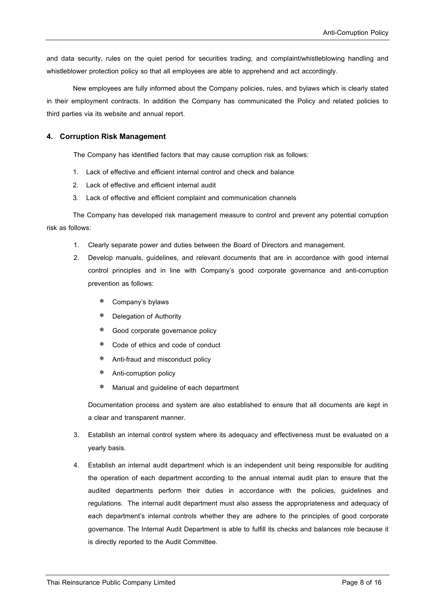and data security, rules on the quiet period for securities trading, and complaint/whistleblowing handling and whistleblower protection policy so that all employees are able to apprehend and act accordingly.

New employees are fully informed about the Company policies, rules, and bylaws which is clearly stated in their employment contracts. In addition the Company has communicated the Policy and related policies to third parties via its website and annual report.

## **4. Corruption Risk Management**

The Company has identified factors that may cause corruption risk as follows:

- 1. Lack of effective and efficient internal control and check and balance
- 2. Lack of effective and efficient internal audit
- 3. Lack of effective and efficient complaint and communication channels

The Company has developed risk management measure to control and prevent any potential corruption risk as follows:

- 1. Clearly separate power and duties between the Board of Directors and management.
- 2. Develop manuals, guidelines, and relevant documents that are in accordance with good internal control principles and in line with Company's good corporate governance and anti-corruption prevention as follows:
	- Company's bylaws
	- Delegation of Authority
	- Good corporate governance policy
	- Code of ethics and code of conduct
	- Anti-fraud and misconduct policy
	- Anti-corruption policy
	- Manual and guideline of each department

Documentation process and system are also established to ensure that all documents are kept in a clear and transparent manner.

- 3. Establish an internal control system where its adequacy and effectiveness must be evaluated on a yearly basis.
- 4. Establish an internal audit department which is an independent unit being responsible for auditing the operation of each department according to the annual internal audit plan to ensure that the audited departments perform their duties in accordance with the policies, guidelines and regulations. The internal audit department must also assess the appropriateness and adequacy of each department's internal controls whether they are adhere to the principles of good corporate governance. The Internal Audit Department is able to fulfill its checks and balances role because it is directly reported to the Audit Committee.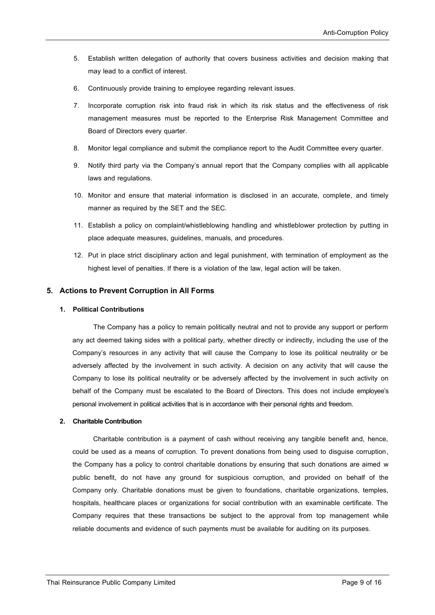- 5. Establish written delegation of authority that covers business activities and decision making that may lead to a conflict of interest.
- 6. Continuously provide training to employee regarding relevant issues.
- 7. Incorporate corruption risk into fraud risk in which its risk status and the effectiveness of risk management measures must be reported to the Enterprise Risk Management Committee and Board of Directors every quarter.
- 8. Monitor legal compliance and submit the compliance report to the Audit Committee every quarter.
- 9. Notify third party via the Company's annual report that the Company complies with all applicable laws and regulations.
- 10. Monitor and ensure that material information is disclosed in an accurate, complete, and timely manner as required by the SET and the SEC.
- 11. Establish a policy on complaint/whistleblowing handling and whistleblower protection by putting in place adequate measures, guidelines, manuals, and procedures.
- 12. Put in place strict disciplinary action and legal punishment, with termination of employment as the highest level of penalties. If there is a violation of the law, legal action will be taken.

## **5. Actions to Prevent Corruption in All Forms**

## **1. Political Contributions**

The Company has a policy to remain politically neutral and not to provide any support or perform any act deemed taking sides with a political party, whether directly or indirectly, including the use of the Company's resources in any activity that will cause the Company to lose its political neutrality or be adversely affected by the involvement in such activity. A decision on any activity that will cause the Company to lose its political neutrality or be adversely affected by the involvement in such activity on behalf of the Company must be escalated to the Board of Directors. This does not include employee's personal involvement in political activities that is in accordance with their personal rights and freedom.

#### **2. Charitable Contribution**

Charitable contribution is a payment of cash without receiving any tangible benefit and, hence, could be used as a means of corruption. To prevent donations from being used to disguise corruption, the Company has a policy to control charitable donations by ensuring that such donations are aimed w public benefit, do not have any ground for suspicious corruption, and provided on behalf of the Company only. Charitable donations must be given to foundations, charitable organizations, temples, hospitals, healthcare places or organizations for social contribution with an examinable certificate. The Company requires that these transactions be subject to the approval from top management while reliable documents and evidence of such payments must be available for auditing on its purposes.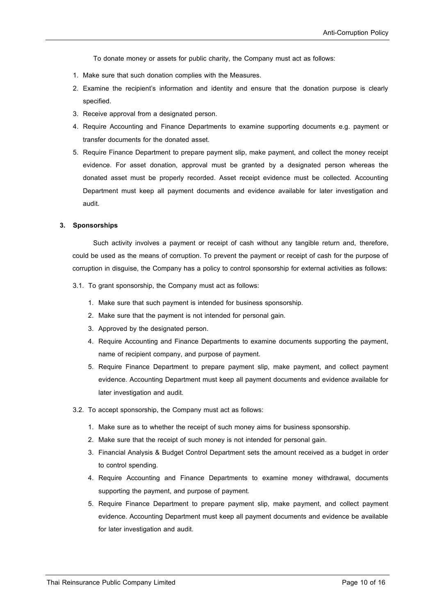To donate money or assets for public charity, the Company must act as follows:

- 1. Make sure that such donation complies with the Measures.
- 2. Examine the recipient's information and identity and ensure that the donation purpose is clearly specified.
- 3. Receive approval from a designated person.
- 4. Require Accounting and Finance Departments to examine supporting documents e.g. payment or transfer documents for the donated asset.
- 5. Require Finance Department to prepare payment slip, make payment, and collect the money receipt evidence. For asset donation, approval must be granted by a designated person whereas the donated asset must be properly recorded. Asset receipt evidence must be collected. Accounting Department must keep all payment documents and evidence available for later investigation and audit.

#### **3. Sponsorships**

Such activity involves a payment or receipt of cash without any tangible return and, therefore, could be used as the means of corruption. To prevent the payment or receipt of cash for the purpose of corruption in disguise, the Company has a policy to control sponsorship for external activities as follows:

- 3.1. To grant sponsorship, the Company must act as follows:
	- 1. Make sure that such payment is intended for business sponsorship.
	- 2. Make sure that the payment is not intended for personal gain.
	- 3. Approved by the designated person.
	- 4. Require Accounting and Finance Departments to examine documents supporting the payment, name of recipient company, and purpose of payment.
	- 5. Require Finance Department to prepare payment slip, make payment, and collect payment evidence. Accounting Department must keep all payment documents and evidence available for later investigation and audit.
- 3.2. To accept sponsorship, the Company must act as follows:
	- 1. Make sure as to whether the receipt of such money aims for business sponsorship.
	- 2. Make sure that the receipt of such money is not intended for personal gain.
	- 3. Financial Analysis & Budget Control Department sets the amount received as a budget in order to control spending.
	- 4. Require Accounting and Finance Departments to examine money withdrawal, documents supporting the payment, and purpose of payment.
	- 5. Require Finance Department to prepare payment slip, make payment, and collect payment evidence. Accounting Department must keep all payment documents and evidence be available for later investigation and audit.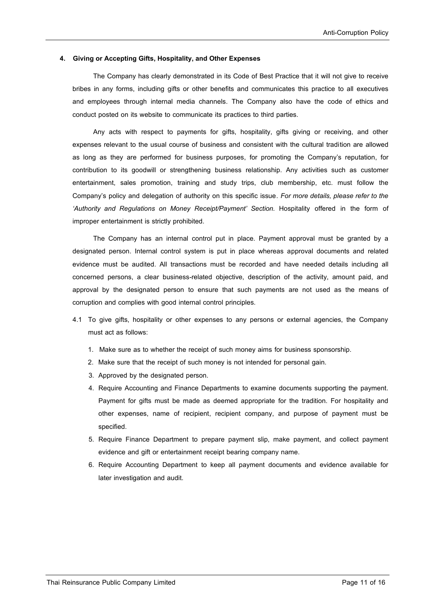#### **4. Giving or Accepting Gifts, Hospitality,and Other Expenses**

The Company has clearly demonstrated in its Code of Best Practice that it will not give to receive bribes in any forms, including gifts or other benefits and communicates this practice to all executives and employees through internal media channels. The Company also have the code of ethics and conduct posted on its website to communicate its practices to third parties.

Any acts with respect to payments for gifts, hospitality, gifts giving or receiving, and other expenses relevant to the usual course of business and consistent with the cultural tradition are allowed as long as they are performed for business purposes, for promoting the Company's reputation, for contribution to its goodwill or strengthening business relationship. Any activities such as customer entertainment, sales promotion, training and study trips, club membership, etc. must follow the Company's policy and delegation of authority on this specific issue. *For more details, please refer to the 'Authority and Regulations on Money Receipt/Payment' Section.* Hospitality offered in the form of improper entertainment is strictly prohibited.

The Company has an internal control put in place. Payment approval must be granted by a designated person. Internal control system is put in place whereas approval documents and related evidence must be audited. All transactions must be recorded and have needed details including all concerned persons, a clear business-related objective, description of the activity, amount paid, and approval by the designated person to ensure that such payments are not used as the means of corruption and complies with good internal control principles.

- 4.1 To give gifts, hospitality or other expenses to any persons or external agencies, the Company must act as follows:
	- 1. Make sure as to whether the receipt of such money aims for business sponsorship.
	- 2. Make sure that the receipt of such money is not intended for personal gain.
	- 3. Approved by the designated person.
	- 4. Require Accounting and Finance Departments to examine documents supporting the payment. Payment for gifts must be made as deemed appropriate for the tradition. For hospitality and other expenses, name of recipient, recipient company, and purpose of payment must be specified.
	- 5. Require Finance Department to prepare payment slip, make payment, and collect payment evidence and gift or entertainment receipt bearing company name.
	- 6. Require Accounting Department to keep all payment documents and evidence available for later investigation and audit.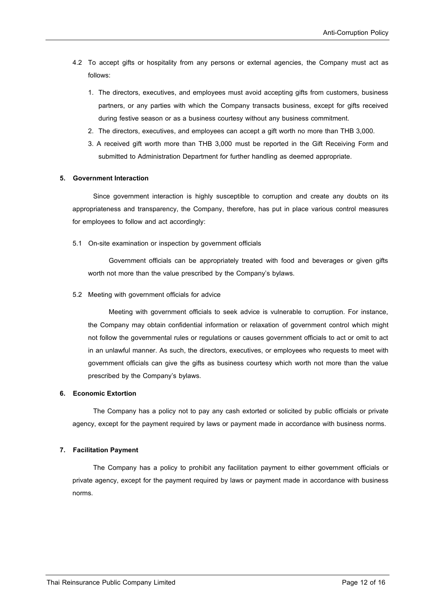- 4.2 To accept gifts or hospitality from any persons or external agencies, the Company must act as follows:
	- 1. The directors, executives, and employees must avoid accepting gifts from customers, business partners, or any parties with which the Company transacts business, except for gifts received during festive season or as a business courtesy without any business commitment.
	- 2. The directors, executives, and employees can accept a gift worth no more than THB 3,000.
	- 3. A received gift worth more than THB 3,000 must be reported in the Gift Receiving Form and submitted to Administration Department for further handling as deemed appropriate.

#### **5. Government Interaction**

Since government interaction is highly susceptible to corruption and create any doubts on its appropriateness and transparency, the Company, therefore, has put in place various control measures for employees to follow and act accordingly:

5.1 On-site examination or inspection by government officials

Government officials can be appropriately treated with food and beverages or given gifts worth not more than the value prescribed by the Company's bylaws.

5.2 Meeting with government officials for advice

Meeting with government officials to seek advice is vulnerable to corruption. For instance, the Company may obtain confidential information or relaxation of government control which might not follow the governmental rules or regulations or causes government officials to act or omit to act in an unlawful manner. As such, the directors, executives, or employees who requests to meet with government officials can give the gifts as business courtesy which worth not more than the value prescribed by the Company's bylaws.

#### **6. Economic Extortion**

The Company has a policy not to pay any cash extorted or solicited by public officials or private agency, except for the payment required by laws or payment made in accordance with business norms.

#### **7. Facilitation Payment**

The Company has a policy to prohibit any facilitation payment to either government officials or private agency, except for the payment required by laws or payment made in accordance with business norms.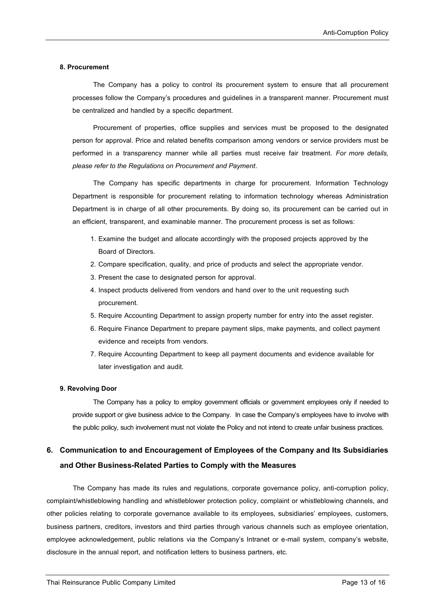## **8. Procurement**

The Company has a policy to control its procurement system to ensure that all procurement processes follow the Company's procedures and guidelines in a transparent manner. Procurement must be centralized and handled by a specific department.

Procurement of properties, office supplies and services must be proposed to the designated person for approval. Price and related benefits comparison among vendors or service providers must be performed in a transparency manner while all parties must receive fair treatment. *For more details, please refer to the Regulations on Procurement and Payment*.

The Company has specific departments in charge for procurement. Information Technology Department is responsible for procurement relating to information technology whereas Administration Department is in charge of all other procurements. By doing so, its procurement can be carried out in an efficient, transparent, and examinable manner. The procurement process is set as follows:

- 1. Examine the budget and allocate accordingly with the proposed projects approved by the Board of Directors.
- 2. Compare specification, quality, and price of products and select the appropriate vendor.
- 3. Present the case to designated person for approval.
- 4. Inspect products delivered from vendors and hand over to the unit requesting such procurement.
- 5. Require Accounting Department to assign property number for entry into the asset register.
- 6. Require Finance Department to prepare payment slips, make payments, and collect payment evidence and receipts from vendors.
- 7. Require Accounting Department to keep all payment documents and evidence available for later investigation and audit.

## **9. Revolving Door**

The Company has a policy to employ government officials or government employees only if needed to provide support or give business advice to the Company. In case the Company's employees have to involve with the public policy, such involvement must not violate the Policy and not intend to create unfair business practices.

## **6. Communication to and Encouragement of Employees of the Company and Its Subsidiaries and Other Business-Related Parties to Comply with the Measures**

The Company has made its rules and regulations, corporate governance policy, anti-corruption policy, complaint/whistleblowing handling and whistleblower protection policy, complaint or whistleblowing channels, and other policies relating to corporate governance available to its employees, subsidiaries' employees, customers, business partners, creditors, investors and third parties through various channels such as employee orientation, employee acknowledgement, public relations via the Company's Intranet or e-mail system, company's website, disclosure in the annual report, and notification letters to business partners, etc.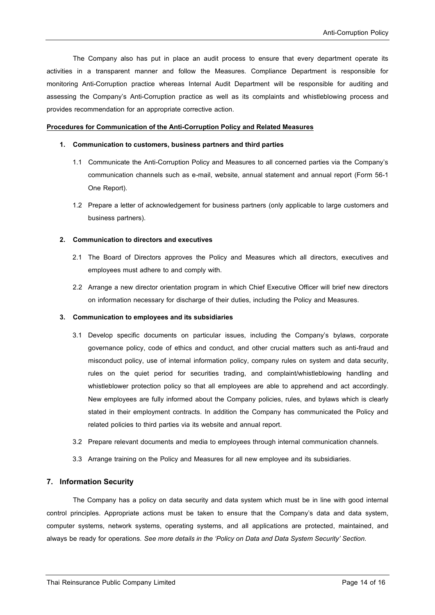The Company also has put in place an audit process to ensure that every department operate its activities in a transparent manner and follow the Measures. Compliance Department is responsible for monitoring Anti-Corruption practice whereas Internal Audit Department will be responsible for auditing and assessing the Company's Anti-Corruption practice as well as its complaints and whistleblowing process and provides recommendation for an appropriate corrective action.

#### **Procedures for Communication of the Anti-Corruption Policy and Related Measures**

#### **1. Communication to customers, business partners and third parties**

- 1.1 Communicate the Anti-Corruption Policy and Measures to all concerned parties via the Company's communication channels such as e-mail, website, annual statement and annual report (Form 56-1 One Report).
- 1.2 Prepare a letter of acknowledgement for business partners (only applicable to large customers and business partners).

#### **2. Communication to directors and executives**

- 2.1 The Board of Directors approves the Policy and Measures which all directors, executives and employees must adhere to and comply with.
- 2.2 Arrange a new director orientation program in which Chief Executive Officer will brief new directors on information necessary for discharge of their duties, including the Policy and Measures.

#### **3. Communication to employees and its subsidiaries**

- 3.1 Develop specific documents on particular issues, including the Company's bylaws, corporate governance policy, code of ethics and conduct, and other crucial matters such as anti-fraud and misconduct policy, use of internal information policy, company rules on system and data security, rules on the quiet period for securities trading, and complaint/whistleblowing handling and whistleblower protection policy so that all employees are able to apprehend and act accordingly. New employees are fully informed about the Company policies, rules, and bylaws which is clearly stated in their employment contracts. In addition the Company has communicated the Policy and related policies to third parties via its website and annual report.
- 3.2 Prepare relevant documents and media to employees through internal communication channels.
- 3.3 Arrange training on the Policy and Measures for all new employee and its subsidiaries.

#### **7. Information Security**

The Company has a policy on data security and data system which must be in line with good internal control principles. Appropriate actions must be taken to ensure that the Company's data and data system, computer systems, network systems, operating systems, and all applications are protected, maintained, and always be ready for operations. *See more details in the 'Policy on Data and Data System Security' Section.*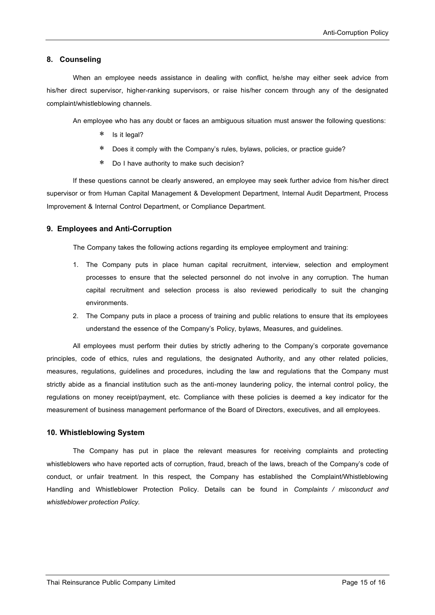## **8. Counseling**

When an employee needs assistance in dealing with conflict, he/she may either seek advice from his/her direct supervisor, higher-ranking supervisors, or raise his/her concern through any of the designated complaint/whistleblowing channels.

An employee who has any doubt or faces an ambiguous situation must answer the following questions:

- \* Is it legal?
- Does it comply with the Company's rules, bylaws, policies, or practice guide?
- Do I have authority to make such decision?

If these questions cannot be clearly answered, an employee may seek further advice from his/her direct supervisor or from Human Capital Management & Development Department, Internal Audit Department, Process Improvement & Internal Control Department, or Compliance Department.

## **9. Employees and Anti-Corruption**

The Company takes the following actions regarding its employee employment and training:

- 1. The Company puts in place human capital recruitment, interview, selection and employment processes to ensure that the selected personnel do not involve in any corruption. The human capital recruitment and selection process is also reviewed periodically to suit the changing environments.
- 2. The Company puts in place a process of training and public relations to ensure that its employees understand the essence of the Company's Policy, bylaws, Measures, and guidelines.

All employees must perform their duties by strictly adhering to the Company's corporate governance principles, code of ethics, rules and regulations, the designated Authority, and any other related policies, measures, regulations, guidelines and procedures, including the law and regulations that the Company must strictly abide as a financial institution such as the anti-money laundering policy, the internal control policy, the regulations on money receipt/payment, etc. Compliance with these policies is deemed a key indicator for the measurement of business management performance of the Board of Directors, executives, and all employees.

## **10. Whistleblowing System**

The Company has put in place the relevant measures for receiving complaints and protecting whistleblowers who have reported acts of corruption, fraud, breach of the laws, breach of the Company's code of conduct, or unfair treatment. In this respect, the Company has established the Complaint/Whistleblowing Handling and Whistleblower Protection Policy. Details can be found in *Complaints / misconduct and whistleblower protection Policy.*